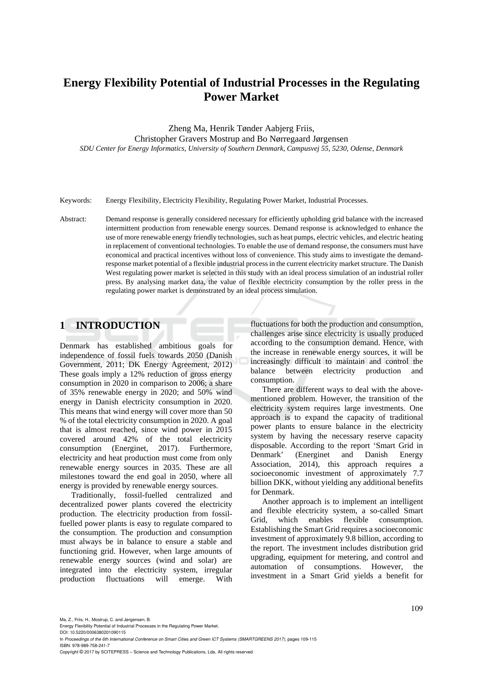# **Energy Flexibility Potential of Industrial Processes in the Regulating Power Market**

Zheng Ma, Henrik Tønder Aabjerg Friis, Christopher Gravers Mostrup and Bo Nørregaard Jørgensen *SDU Center for Energy Informatics, University of Southern Denmark, Campusvej 55, 5230, Odense, Denmark* 

Keywords: Energy Flexibility, Electricity Flexibility, Regulating Power Market, Industrial Processes.

Abstract: Demand response is generally considered necessary for efficiently upholding grid balance with the increased intermittent production from renewable energy sources. Demand response is acknowledged to enhance the use of more renewable energy friendly technologies, such as heat pumps, electric vehicles, and electric heating in replacement of conventional technologies. To enable the use of demand response, the consumers must have economical and practical incentives without loss of convenience. This study aims to investigate the demandresponse market potential of a flexible industrial process in the current electricity market structure. The Danish West regulating power market is selected in this study with an ideal process simulation of an industrial roller press. By analysing market data, the value of flexible electricity consumption by the roller press in the regulating power market is demonstrated by an ideal process simulation.

# **1 INTRODUCTION**

Denmark has established ambitious goals for independence of fossil fuels towards 2050 (Danish Government, 2011; DK Energy Agreement, 2012) These goals imply a 12% reduction of gross energy consumption in 2020 in comparison to 2006; a share of 35% renewable energy in 2020; and 50% wind energy in Danish electricity consumption in 2020. This means that wind energy will cover more than 50 % of the total electricity consumption in 2020. A goal that is almost reached, since wind power in 2015 covered around 42% of the total electricity consumption (Energinet, 2017). Furthermore, electricity and heat production must come from only renewable energy sources in 2035. These are all milestones toward the end goal in 2050, where all energy is provided by renewable energy sources.

Traditionally, fossil-fuelled centralized and decentralized power plants covered the electricity production. The electricity production from fossilfuelled power plants is easy to regulate compared to the consumption. The production and consumption must always be in balance to ensure a stable and functioning grid. However, when large amounts of renewable energy sources (wind and solar) are integrated into the electricity system, irregular production fluctuations will emerge. With

fluctuations for both the production and consumption, challenges arise since electricity is usually produced according to the consumption demand. Hence, with the increase in renewable energy sources, it will be increasingly difficult to maintain and control the balance between electricity production and consumption.

There are different ways to deal with the abovementioned problem. However, the transition of the electricity system requires large investments. One approach is to expand the capacity of traditional power plants to ensure balance in the electricity system by having the necessary reserve capacity disposable. According to the report 'Smart Grid in Denmark' (Energinet and Danish Energy Association, 2014), this approach requires a socioeconomic investment of approximately 7.7 billion DKK, without yielding any additional benefits for Denmark.

Another approach is to implement an intelligent and flexible electricity system, a so-called Smart Grid, which enables flexible consumption. Establishing the Smart Grid requires a socioeconomic investment of approximately 9.8 billion, according to the report. The investment includes distribution grid upgrading, equipment for metering, and control and automation of consumptions. However, the investment in a Smart Grid yields a benefit for

DOI: 10.5220/0006380201090115

In *Proceedings of the 6th International Conference on Smart Cities and Green ICT Systems (SMARTGREENS 2017)*, pages 109-115 ISBN: 978-989-758-241-7

Copyright © 2017 by SCITEPRESS – Science and Technology Publications, Lda. All rights reserved

Energy Flexibility Potential of Industrial Processes in the Regulating Power Market.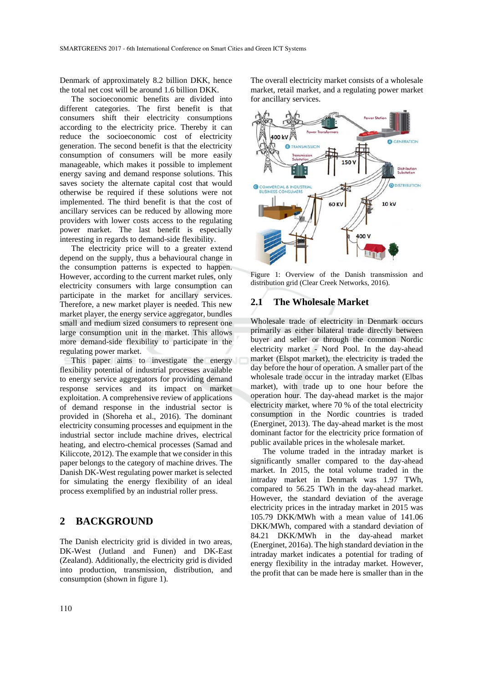Denmark of approximately 8.2 billion DKK, hence the total net cost will be around 1.6 billion DKK.

The socioeconomic benefits are divided into different categories. The first benefit is that consumers shift their electricity consumptions according to the electricity price. Thereby it can reduce the socioeconomic cost of electricity generation. The second benefit is that the electricity consumption of consumers will be more easily manageable, which makes it possible to implement energy saving and demand response solutions. This saves society the alternate capital cost that would otherwise be required if these solutions were not implemented. The third benefit is that the cost of ancillary services can be reduced by allowing more providers with lower costs access to the regulating power market. The last benefit is especially interesting in regards to demand-side flexibility.

The electricity price will to a greater extend depend on the supply, thus a behavioural change in the consumption patterns is expected to happen. However, according to the current market rules, only electricity consumers with large consumption can participate in the market for ancillary services. Therefore, a new market player is needed. This new market player, the energy service aggregator, bundles small and medium sized consumers to represent one large consumption unit in the market. This allows more demand-side flexibility to participate in the regulating power market.

This paper aims to investigate the energy flexibility potential of industrial processes available to energy service aggregators for providing demand response services and its impact on market exploitation. A comprehensive review of applications of demand response in the industrial sector is provided in (Shoreha et al., 2016). The dominant electricity consuming processes and equipment in the industrial sector include machine drives, electrical heating, and electro-chemical processes (Samad and Kiliccote, 2012). The example that we consider in this paper belongs to the category of machine drives. The Danish DK-West regulating power market is selected for simulating the energy flexibility of an ideal process exemplified by an industrial roller press.

# **2 BACKGROUND**

The Danish electricity grid is divided in two areas, DK-West (Jutland and Funen) and DK-East (Zealand). Additionally, the electricity grid is divided into production, transmission, distribution, and consumption (shown in figure 1).

The overall electricity market consists of a wholesale market, retail market, and a regulating power market for ancillary services.



Figure 1: Overview of the Danish transmission and distribution grid (Clear Creek Networks, 2016).

# **2.1 The Wholesale Market**

Wholesale trade of electricity in Denmark occurs primarily as either bilateral trade directly between buyer and seller or through the common Nordic electricity market - Nord Pool. In the day-ahead market (Elspot market), the electricity is traded the day before the hour of operation. A smaller part of the wholesale trade occur in the intraday market (Elbas market), with trade up to one hour before the operation hour. The day-ahead market is the major electricity market, where 70 % of the total electricity consumption in the Nordic countries is traded (Energinet, 2013). The day-ahead market is the most dominant factor for the electricity price formation of public available prices in the wholesale market.

The volume traded in the intraday market is significantly smaller compared to the day-ahead market. In 2015, the total volume traded in the intraday market in Denmark was 1.97 TWh, compared to 56.25 TWh in the day-ahead market. However, the standard deviation of the average electricity prices in the intraday market in 2015 was 105.79 DKK/MWh with a mean value of 141.06 DKK/MWh, compared with a standard deviation of 84.21 DKK/MWh in the day-ahead market (Energinet, 2016a). The high standard deviation in the intraday market indicates a potential for trading of energy flexibility in the intraday market. However, the profit that can be made here is smaller than in the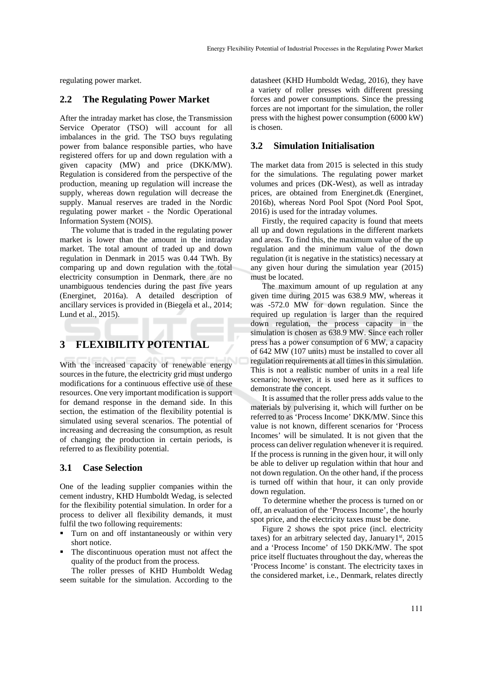regulating power market.

#### **2.2 The Regulating Power Market**

After the intraday market has close, the Transmission Service Operator (TSO) will account for all imbalances in the grid. The TSO buys regulating power from balance responsible parties, who have registered offers for up and down regulation with a given capacity (MW) and price (DKK/MW). Regulation is considered from the perspective of the production, meaning up regulation will increase the supply, whereas down regulation will decrease the supply. Manual reserves are traded in the Nordic regulating power market - the Nordic Operational Information System (NOIS).

The volume that is traded in the regulating power market is lower than the amount in the intraday market. The total amount of traded up and down regulation in Denmark in 2015 was 0.44 TWh. By comparing up and down regulation with the total electricity consumption in Denmark, there are no unambiguous tendencies during the past five years (Energinet, 2016a). A detailed description of ancillary services is provided in (Biegela et al., 2014; Lund et al., 2015).

# **3 FLEXIBILITY POTENTIAL**

With the increased capacity of renewable energy sources in the future, the electricity grid must undergo modifications for a continuous effective use of these resources. One very important modification is support for demand response in the demand side. In this section, the estimation of the flexibility potential is simulated using several scenarios. The potential of increasing and decreasing the consumption, as result of changing the production in certain periods, is referred to as flexibility potential.

#### **3.1 Case Selection**

One of the leading supplier companies within the cement industry, KHD Humboldt Wedag, is selected for the flexibility potential simulation. In order for a process to deliver all flexibility demands, it must fulfil the two following requirements:

- Turn on and off instantaneously or within very short notice.
- The discontinuous operation must not affect the quality of the product from the process.

The roller presses of KHD Humboldt Wedag seem suitable for the simulation. According to the

datasheet (KHD Humboldt Wedag, 2016), they have a variety of roller presses with different pressing forces and power consumptions. Since the pressing forces are not important for the simulation, the roller press with the highest power consumption (6000 kW) is chosen.

#### **3.2 Simulation Initialisation**

The market data from 2015 is selected in this study for the simulations. The regulating power market volumes and prices (DK-West), as well as intraday prices, are obtained from Energinet.dk (Energinet, 2016b), whereas Nord Pool Spot (Nord Pool Spot, 2016) is used for the intraday volumes.

Firstly, the required capacity is found that meets all up and down regulations in the different markets and areas. To find this, the maximum value of the up regulation and the minimum value of the down regulation (it is negative in the statistics) necessary at any given hour during the simulation year (2015) must be located.

The maximum amount of up regulation at any given time during 2015 was 638.9 MW, whereas it was -572.0 MW for down regulation. Since the required up regulation is larger than the required down regulation, the process capacity in the simulation is chosen as 638.9 MW. Since each roller press has a power consumption of 6 MW, a capacity of 642 MW (107 units) must be installed to cover all regulation requirements at all times in this simulation. This is not a realistic number of units in a real life scenario; however, it is used here as it suffices to demonstrate the concept.

It is assumed that the roller press adds value to the materials by pulverising it, which will further on be referred to as 'Process Income' DKK/MW. Since this value is not known, different scenarios for 'Process Incomes' will be simulated. It is not given that the process can deliver regulation whenever it is required. If the process is running in the given hour, it will only be able to deliver up regulation within that hour and not down regulation. On the other hand, if the process is turned off within that hour, it can only provide down regulation.

To determine whether the process is turned on or off, an evaluation of the 'Process Income', the hourly spot price, and the electricity taxes must be done.

Figure 2 shows the spot price (incl. electricity taxes) for an arbitrary selected day, January1<sup>st</sup>, 2015 and a 'Process Income' of 150 DKK/MW. The spot price itself fluctuates throughout the day, whereas the 'Process Income' is constant. The electricity taxes in the considered market, i.e., Denmark, relates directly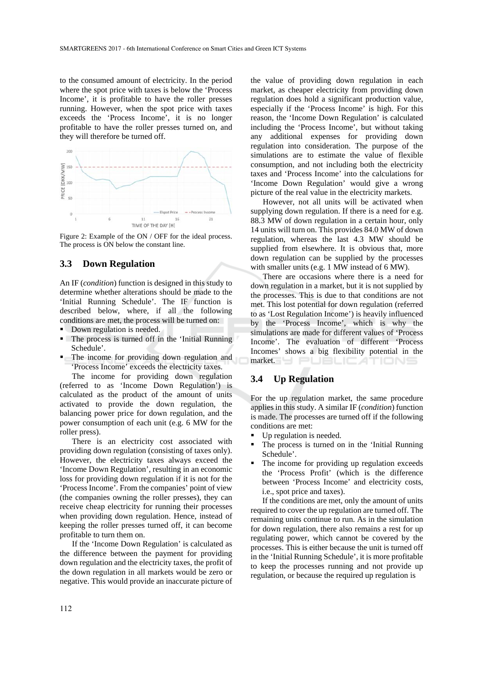to the consumed amount of electricity. In the period where the spot price with taxes is below the 'Process Income', it is profitable to have the roller presses running. However, when the spot price with taxes exceeds the 'Process Income', it is no longer profitable to have the roller presses turned on, and they will therefore be turned off.



Figure 2: Example of the ON / OFF for the ideal process. The process is ON below the constant line.

#### **3.3 Down Regulation**

An IF (*condition*) function is designed in this study to determine whether alterations should be made to the 'Initial Running Schedule'. The IF function is described below, where, if all the following conditions are met, the process will be turned on:

- Down regulation is needed.
- The process is turned off in the 'Initial Running' Schedule'.
- The income for providing down regulation and 'Process Income' exceeds the electricity taxes.

The income for providing down regulation (referred to as 'Income Down Regulation') is calculated as the product of the amount of units activated to provide the down regulation, the balancing power price for down regulation, and the power consumption of each unit (e.g. 6 MW for the roller press).

There is an electricity cost associated with providing down regulation (consisting of taxes only). However, the electricity taxes always exceed the 'Income Down Regulation', resulting in an economic loss for providing down regulation if it is not for the 'Process Income'. From the companies' point of view (the companies owning the roller presses), they can receive cheap electricity for running their processes when providing down regulation. Hence, instead of keeping the roller presses turned off, it can become profitable to turn them on.

If the 'Income Down Regulation' is calculated as the difference between the payment for providing down regulation and the electricity taxes, the profit of the down regulation in all markets would be zero or negative. This would provide an inaccurate picture of

the value of providing down regulation in each market, as cheaper electricity from providing down regulation does hold a significant production value, especially if the 'Process Income' is high. For this reason, the 'Income Down Regulation' is calculated including the 'Process Income', but without taking any additional expenses for providing down regulation into consideration. The purpose of the simulations are to estimate the value of flexible consumption, and not including both the electricity taxes and 'Process Income' into the calculations for 'Income Down Regulation' would give a wrong picture of the real value in the electricity markets.

However, not all units will be activated when supplying down regulation. If there is a need for e.g. 88.3 MW of down regulation in a certain hour, only 14 units will turn on. This provides 84.0 MW of down regulation, whereas the last 4.3 MW should be supplied from elsewhere. It is obvious that, more down regulation can be supplied by the processes with smaller units (e.g. 1 MW instead of 6 MW).

There are occasions where there is a need for down regulation in a market, but it is not supplied by the processes. This is due to that conditions are not met. This lost potential for down regulation (referred to as 'Lost Regulation Income') is heavily influenced by the 'Process Income', which is why the simulations are made for different values of 'Process Income'. The evaluation of different 'Process Incomes' shows a big flexibility potential in the market. PUBLIC ATIONS

### **3.4 Up Regulation**

For the up regulation market, the same procedure applies in this study. A similar IF (*condition*) function is made. The processes are turned off if the following conditions are met:

- Up regulation is needed.
- The process is turned on in the 'Initial Running Schedule'.
- The income for providing up regulation exceeds the 'Process Profit' (which is the difference between 'Process Income' and electricity costs, i.e., spot price and taxes).

If the conditions are met, only the amount of units required to cover the up regulation are turned off. The remaining units continue to run. As in the simulation for down regulation, there also remains a rest for up regulating power, which cannot be covered by the processes. This is either because the unit is turned off in the 'Initial Running Schedule', it is more profitable to keep the processes running and not provide up regulation, or because the required up regulation is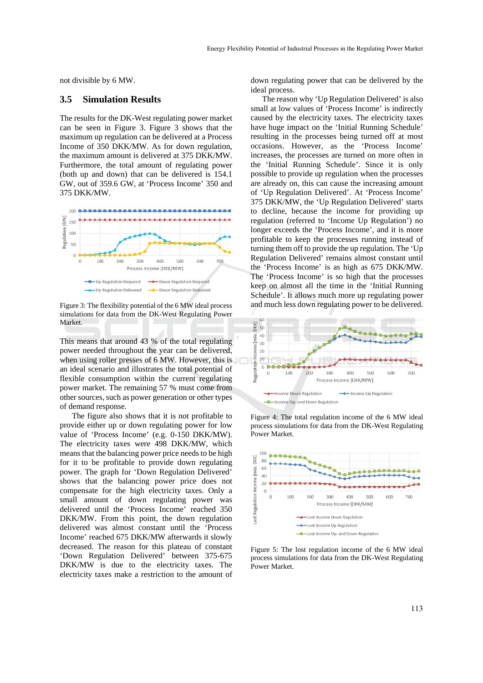not divisible by 6 MW.

#### **3.5 Simulation Results**

The results for the DK-West regulating power market can be seen in Figure 3. Figure 3 shows that the maximum up regulation can be delivered at a Process Income of 350 DKK/MW. As for down regulation, the maximum amount is delivered at 375 DKK/MW. Furthermore, the total amount of regulating power (both up and down) that can be delivered is 154.1 GW, out of 359.6 GW, at 'Process Income' 350 and 375 DKK/MW.



Figure 3: The flexibility potential of the 6 MW ideal process simulations for data from the DK-West Regulating Power Market.

This means that around 43 % of the total regulating power needed throughout the year can be delivered, when using roller presses of 6 MW. However, this is an ideal scenario and illustrates the total potential of flexible consumption within the current regulating power market. The remaining 57 % must come from other sources, such as power generation or other types of demand response.

The figure also shows that it is not profitable to provide either up or down regulating power for low value of 'Process Income' (e.g. 0-150 DKK/MW). The electricity taxes were 498 DKK/MW, which means that the balancing power price needs to be high for it to be profitable to provide down regulating power. The graph for 'Down Regulation Delivered' shows that the balancing power price does not compensate for the high electricity taxes. Only a small amount of down regulating power was delivered until the 'Process Income' reached 350 DKK/MW. From this point, the down regulation delivered was almost constant until the 'Process Income' reached 675 DKK/MW afterwards it slowly decreased. The reason for this plateau of constant 'Down Regulation Delivered' between 375-675 DKK/MW is due to the electricity taxes. The electricity taxes make a restriction to the amount of down regulating power that can be delivered by the ideal process.

The reason why 'Up Regulation Delivered' is also small at low values of 'Process Income' is indirectly caused by the electricity taxes. The electricity taxes have huge impact on the 'Initial Running Schedule' resulting in the processes being turned off at most occasions. However, as the 'Process Income' increases, the processes are turned on more often in the 'Initial Running Schedule'. Since it is only possible to provide up regulation when the processes are already on, this can cause the increasing amount of 'Up Regulation Delivered'. At 'Process Income' 375 DKK/MW, the 'Up Regulation Delivered' starts to decline, because the income for providing up regulation (referred to 'Income Up Regulation') no longer exceeds the 'Process Income', and it is more profitable to keep the processes running instead of turning them off to provide the up regulation. The 'Up Regulation Delivered' remains almost constant until the 'Process Income' is as high as 675 DKK/MW. The 'Process Income' is so high that the processes keep on almost all the time in the 'Initial Running Schedule'. It allows much more up regulating power and much less down regulating power to be delivered.



Figure 4: The total regulation income of the 6 MW ideal process simulations for data from the DK-West Regulating Power Market.



Figure 5: The lost regulation income of the 6 MW ideal process simulations for data from the DK-West Regulating Power Market.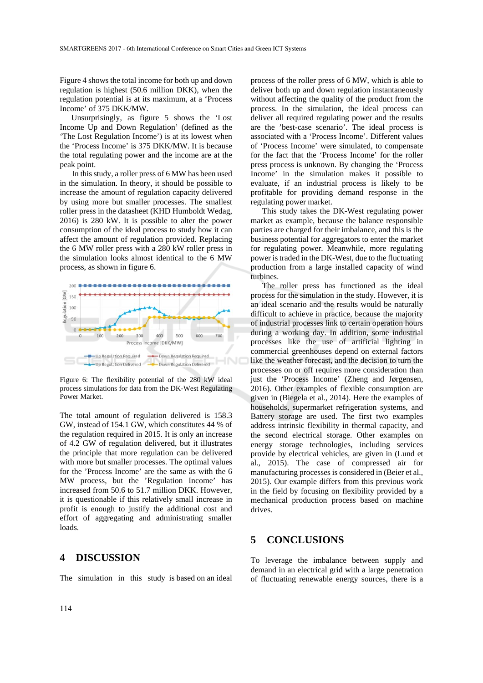Figure 4 shows the total income for both up and down regulation is highest (50.6 million DKK), when the regulation potential is at its maximum, at a 'Process Income' of 375 DKK/MW.

Unsurprisingly, as figure 5 shows the 'Lost Income Up and Down Regulation' (defined as the 'The Lost Regulation Income') is at its lowest when the 'Process Income' is 375 DKK/MW. It is because the total regulating power and the income are at the peak point.

In this study, a roller press of 6 MW has been used in the simulation. In theory, it should be possible to increase the amount of regulation capacity delivered by using more but smaller processes. The smallest roller press in the datasheet (KHD Humboldt Wedag, 2016) is 280 kW. It is possible to alter the power consumption of the ideal process to study how it can affect the amount of regulation provided. Replacing the 6 MW roller press with a 280 kW roller press in the simulation looks almost identical to the 6 MW process, as shown in figure 6.



Figure 6: The flexibility potential of the 280 kW ideal process simulations for data from the DK-West Regulating Power Market.

The total amount of regulation delivered is 158.3 GW, instead of 154.1 GW, which constitutes 44 % of the regulation required in 2015. It is only an increase of 4.2 GW of regulation delivered, but it illustrates the principle that more regulation can be delivered with more but smaller processes. The optimal values for the 'Process Income' are the same as with the 6 MW process, but the 'Regulation Income' has increased from 50.6 to 51.7 million DKK. However, it is questionable if this relatively small increase in profit is enough to justify the additional cost and effort of aggregating and administrating smaller loads.

#### **4 DISCUSSION**

The simulation in this study is based on an ideal

process of the roller press of 6 MW, which is able to deliver both up and down regulation instantaneously without affecting the quality of the product from the process. In the simulation, the ideal process can deliver all required regulating power and the results are the 'best-case scenario'. The ideal process is associated with a 'Process Income'. Different values of 'Process Income' were simulated, to compensate for the fact that the 'Process Income' for the roller press process is unknown. By changing the 'Process Income' in the simulation makes it possible to evaluate, if an industrial process is likely to be profitable for providing demand response in the regulating power market.

This study takes the DK-West regulating power market as example, because the balance responsible parties are charged for their imbalance, and this is the business potential for aggregators to enter the market for regulating power. Meanwhile, more regulating power is traded in the DK-West, due to the fluctuating production from a large installed capacity of wind turbines.

The roller press has functioned as the ideal process for the simulation in the study. However, it is an ideal scenario and the results would be naturally difficult to achieve in practice, because the majority of industrial processes link to certain operation hours during a working day. In addition, some industrial processes like the use of artificial lighting in commercial greenhouses depend on external factors like the weather forecast, and the decision to turn the processes on or off requires more consideration than just the 'Process Income' (Zheng and Jørgensen, 2016). Other examples of flexible consumption are given in (Biegela et al., 2014). Here the examples of households, supermarket refrigeration systems, and Battery storage are used. The first two examples address intrinsic flexibility in thermal capacity, and the second electrical storage. Other examples on energy storage technologies, including services provide by electrical vehicles, are given in (Lund et al., 2015). The case of compressed air for manufacturing processes is considered in (Beier et al., 2015). Our example differs from this previous work in the field by focusing on flexibility provided by a mechanical production process based on machine drives.

# **5 CONCLUSIONS**

To leverage the imbalance between supply and demand in an electrical grid with a large penetration of fluctuating renewable energy sources, there is a